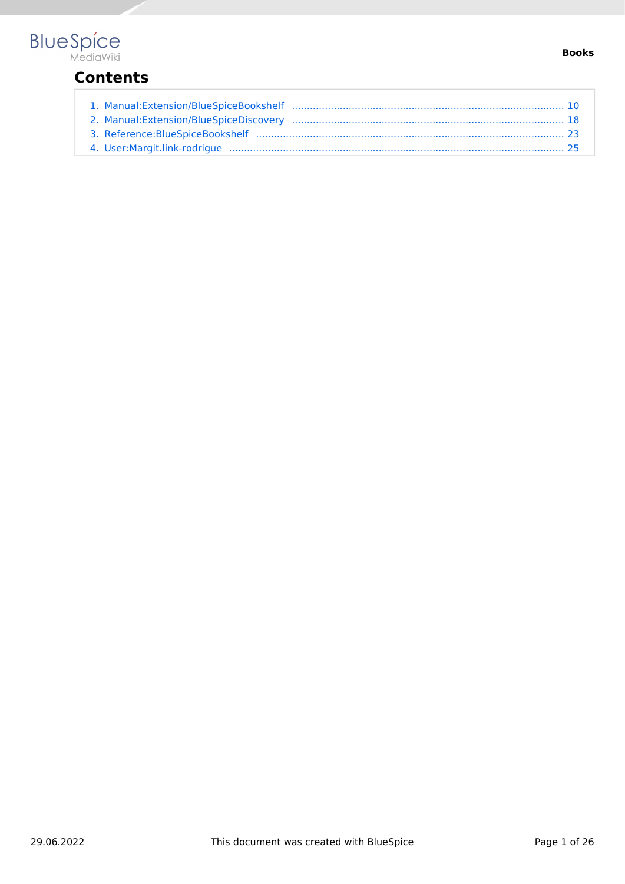# **Contents**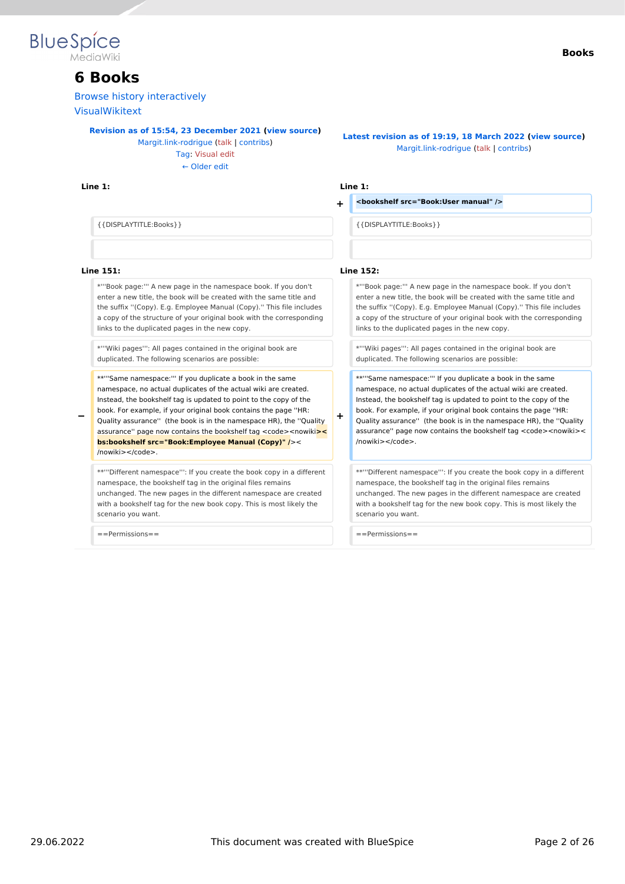

# **6 Books**

[Browse history interactively](https://en.wiki.bluespice.com)

[VisualWikitext](https://en.wiki.bluespice.com)

**[Revision as of 15:54, 23 December 2021](#page-9-0) ([view source\)](#page-9-0)**

[Margit.link-rodrigue](#page-24-0) ([talk](https://en.wiki.bluespice.com/w/index.php?title=User_talk:Margit.link-rodrigue&action=view) | [contribs](https://en.wiki.bluespice.com/wiki/Special:Contributions/Margit.link-rodrigue)) [Tag](https://en.wiki.bluespice.com/wiki/Special:Tags): [Visual edit](https://en.wiki.bluespice.com/w/index.php?title=Site:VisualEditor&action=view) [← Older edit](#page-9-0)

#### **Line 1: Line 1:**

#### **Books**

**[Latest revision as of 19:19, 18 March 2022](#page-9-0) ([view source](#page-9-0))** [Margit.link-rodrigue](#page-24-0) [\(talk](https://en.wiki.bluespice.com/w/index.php?title=User_talk:Margit.link-rodrigue&action=view) | [contribs\)](https://en.wiki.bluespice.com/wiki/Special:Contributions/Margit.link-rodrigue)

**+ <bookshelf src="Book:User manual" />**

{{DISPLAYTITLE:Books}} {{DISPLAYTITLE:Books}}

#### **Line 151: Line 152:**

\*'''Book page:''' A new page in the namespace book. If you don't enter a new title, the book will be created with the same title and the suffix ''(Copy). E.g. Employee Manual (Copy).'' This file includes a copy of the structure of your original book with the corresponding links to the duplicated pages in the new copy.

\*'''Wiki pages''': All pages contained in the original book are duplicated. The following scenarios are possible:

\*\*'''Same namespace:''' If you duplicate a book in the same namespace, no actual duplicates of the actual wiki are created. Instead, the bookshelf tag is updated to point to the copy of the book. For example, if your original book contains the page ''HR:

**−** Quality assurance'' (the book is in the namespace HR), the ''Quality assurance" page now contains the bookshelf tag <code><nowiki**>< bs:bookshelf src="Book:Employee Manual (Copy)" /**>< /nowiki></code>.

\*\*'''Different namespace''': If you create the book copy in a different namespace, the bookshelf tag in the original files remains unchanged. The new pages in the different namespace are created with a bookshelf tag for the new book copy. This is most likely the scenario you want.

==Permissions== ==Permissions==

**+**

\*'''Book page:''' A new page in the namespace book. If you don't enter a new title, the book will be created with the same title and the suffix ''(Copy). E.g. Employee Manual (Copy).'' This file includes a copy of the structure of your original book with the corresponding links to the duplicated pages in the new copy.

\*'''Wiki pages''': All pages contained in the original book are duplicated. The following scenarios are possible:

\*\*'''Same namespace:''' If you duplicate a book in the same namespace, no actual duplicates of the actual wiki are created. Instead, the bookshelf tag is updated to point to the copy of the book. For example, if your original book contains the page ''HR: Quality assurance'' (the book is in the namespace HR), the ''Quality assurance" page now contains the bookshelf tag <code><nowiki>< /nowiki></code>.

\*\*'''Different namespace''': If you create the book copy in a different namespace, the bookshelf tag in the original files remains unchanged. The new pages in the different namespace are created with a bookshelf tag for the new book copy. This is most likely the scenario you want.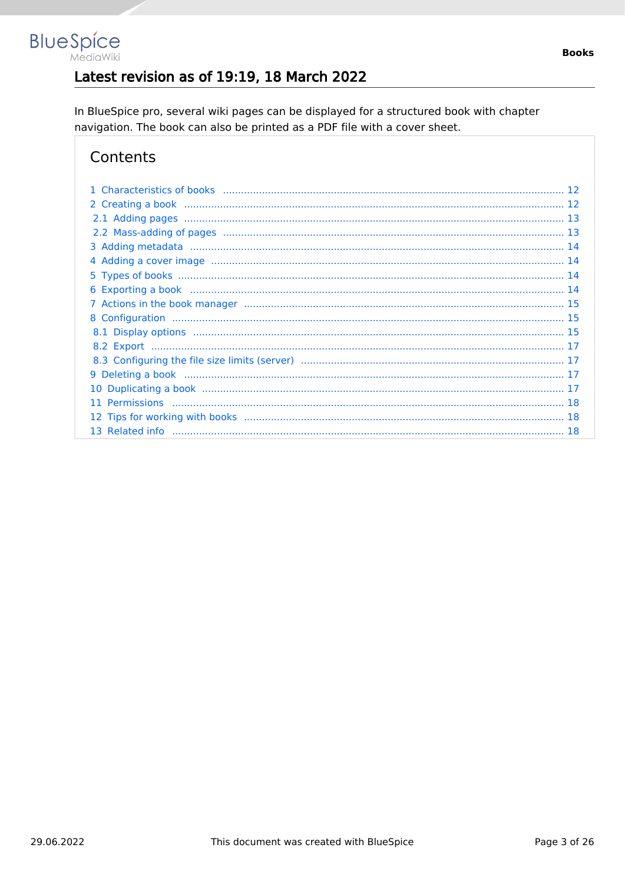# Latest revision as of 19:19, 18 March 2022

In BlueSpice pro, several wiki pages can be displayed for a structured book with chapter navigation. The book can also be printed as a PDF file with a cover sheet.

# Contents

**BlueSpice** 

MediaWiki

| 10 |
|----|
| 11 |
|    |
|    |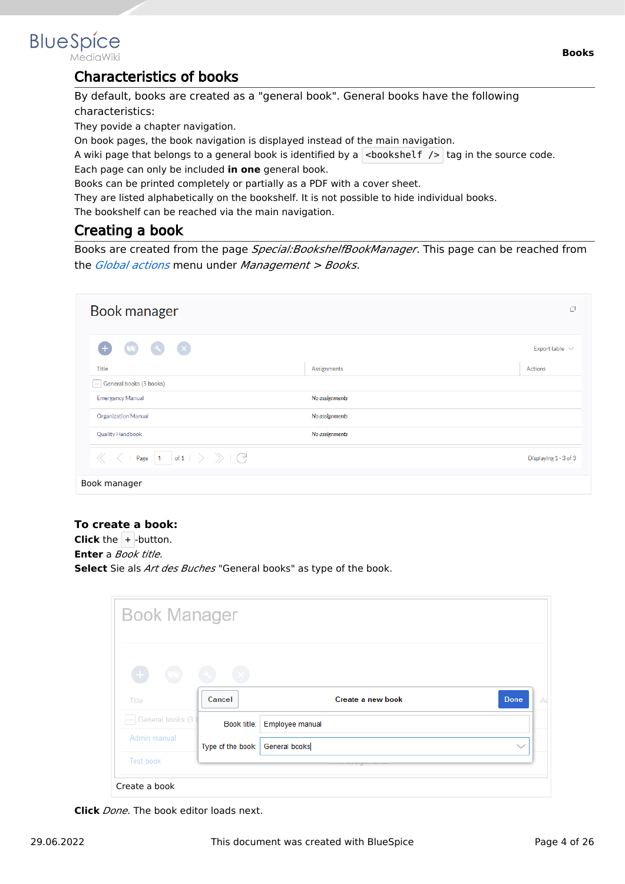

MediaWiki

# Characteristics of books

By default, books are created as a "general book". General books have the following characteristics:

They povide a chapter navigation.

On book pages, the book navigation is displayed instead of the main navigation.

A wiki page that belongs to a general book is identified by a  $\vert$  <br/>bookshelf />  $\vert$  tag in the source code. Each page can only be included **in one** general book.

Books can be printed completely or partially as a PDF with a cover sheet.

They are listed alphabetically on the bookshelf. It is not possible to hide individual books.

The bookshelf can be reached via the main navigation.

# Creating a book

Books are created from the page *Special:BookshelfBookManager*. This page can be reached from the *[Global actions](#page-17-0)* menu under *Management > Books*.

| Book manager                                                                                                                                 |                |         | O                     |
|----------------------------------------------------------------------------------------------------------------------------------------------|----------------|---------|-----------------------|
| $\left( \infty \right)$ $\left( \infty \right)$<br>$\left( \begin{matrix} + & \end{matrix} \right)$                                          |                |         | Export table $\vee$   |
| <b>Title</b>                                                                                                                                 | Assignments    | Actions |                       |
| General books (3 books)                                                                                                                      |                |         |                       |
| <b>Emergency Manual</b>                                                                                                                      | No assignments |         |                       |
| <b>Organization Manual</b>                                                                                                                   | No assignments |         |                       |
| <b>Quality Handbook</b>                                                                                                                      | No assignments |         |                       |
| Page $\begin{array}{ c c c c c }\n\hline\n1 & \text{of} 1 & \rightarrow & \rightarrow & \begin{array}{c}\n\searrow & \searrow & \end{array}$ |                |         | Displaying 1 - 3 of 3 |
| Book manager                                                                                                                                 |                |         |                       |

#### **To create a book:**

**Click** the  $+$  -button. **Enter** a *Book title.* **Select** Sie als *Art des Buches* "General books" as type of the book.

| <b>Book Manager</b> |                                   |                             |                   |              |
|---------------------|-----------------------------------|-----------------------------|-------------------|--------------|
| $\qquad \qquad +$   |                                   |                             |                   |              |
| Title               | Cancel                            |                             | Create a new book | <b>Done</b>  |
| General books (3)   |                                   | Book title: Employee manual |                   |              |
| Admin manual        | Type of the book:   General books |                             |                   | $\checkmark$ |
|                     |                                   |                             |                   |              |

**Click** *Done*. The book editor loads next.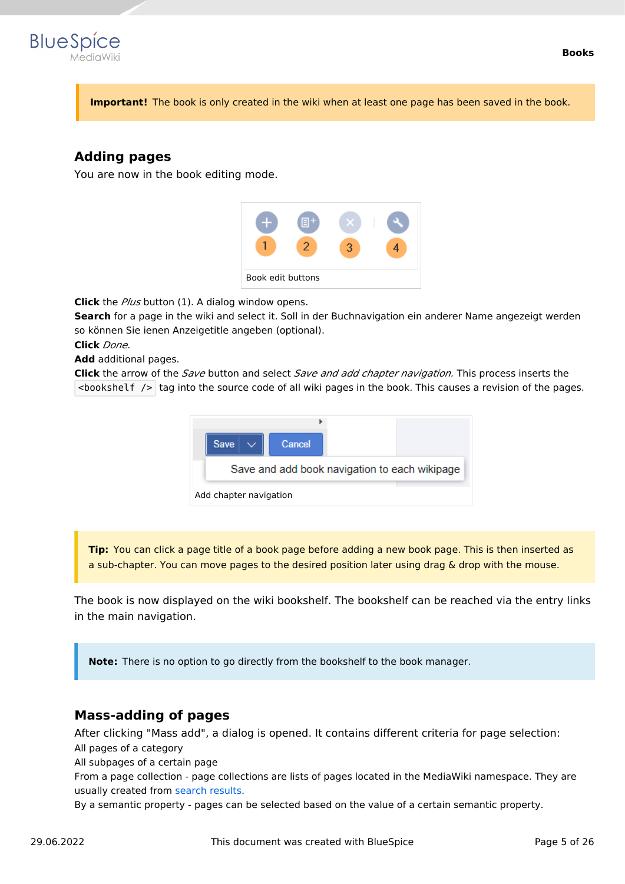

**Important!** The book is only created in the wiki when at least one page has been saved in the book.

# **Adding pages**

You are now in the book editing mode.



**Click** the *Plus* button (1). A dialog window opens.

**Search** for a page in the wiki and select it. Soll in der Buchnavigation ein anderer Name angezeigt werden so können Sie ienen Anzeigetitle angeben (optional).

**Click** *Done*.

**Add** additional pages.

**Click** the arrow of the *Save* button and select *Save and add chapter navigation.* This process inserts the  $\leq$ bookshelf /> tag into the source code of all wiki pages in the book. This causes a revision of the pages.



**Tip:** You can click a page title of a book page before adding a new book page. This is then inserted as a sub-chapter. You can move pages to the desired position later using drag & drop with the mouse.

The book is now displayed on the wiki bookshelf. The bookshelf can be reached via the entry links in the main navigation.

**Note:** There is no option to go directly from the bookshelf to the book manager.

#### **Mass-adding of pages**

After clicking "Mass add", a dialog is opened. It contains different criteria for page selection: All pages of a category

All subpages of a certain page

From a page collection - page collections are lists of pages located in the MediaWiki namespace. They are usually created from [search results](https://en.wiki.bluespice.com/wiki/Manual:Extension/BlueSpiceExtendedSearch#Export).

By a semantic property - pages can be selected based on the value of a certain semantic property.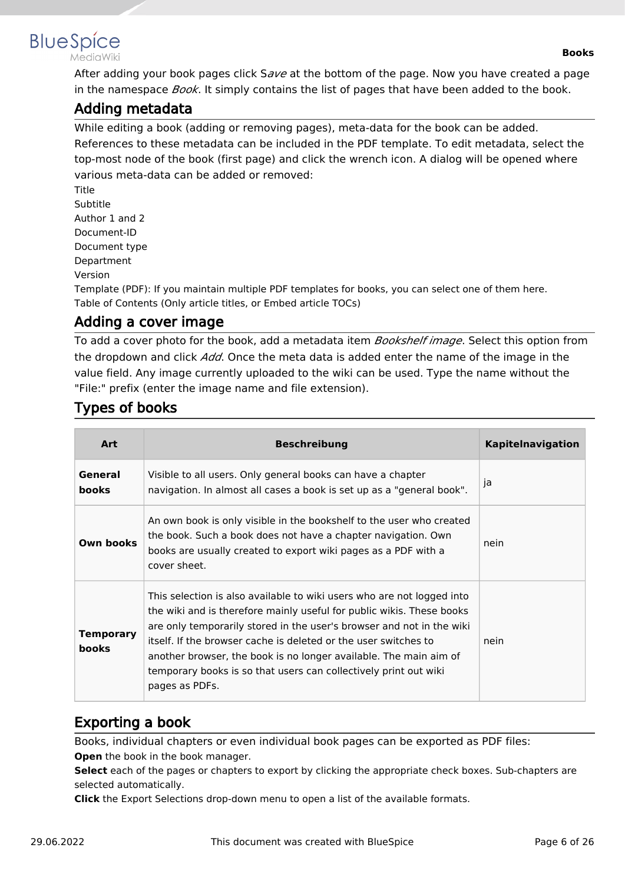

MediaWiki

After adding your book pages click S*ave* at the bottom of the page. Now you have created a page in the namespace *Book*. It simply contains the list of pages that have been added to the book.

# Adding metadata

While editing a book (adding or removing pages), meta-data for the book can be added. References to these metadata can be included in the PDF template. To edit metadata, select the top-most node of the book (first page) and click the wrench icon. A dialog will be opened where various meta-data can be added or removed:

Title Subtitle Author 1 and 2 Document-ID Document type Department Version

Template (PDF): If you maintain multiple PDF templates for books, you can select one of them here. Table of Contents (Only article titles, or Embed article TOCs)

# Adding a cover image

To add a cover photo for the book, add a metadata item *Bookshelf image*. Select this option from the dropdown and click *Add*. Once the meta data is added enter the name of the image in the value field. Any image currently uploaded to the wiki can be used. Type the name without the "File:" prefix (enter the image name and file extension).

# Types of books

| <b>Art</b>                       | <b>Beschreibung</b>                                                                                                                                                                                                                                                                                                                                                                                                                                    | <b>Kapitelnavigation</b> |
|----------------------------------|--------------------------------------------------------------------------------------------------------------------------------------------------------------------------------------------------------------------------------------------------------------------------------------------------------------------------------------------------------------------------------------------------------------------------------------------------------|--------------------------|
| General<br><b>books</b>          | Visible to all users. Only general books can have a chapter<br>navigation. In almost all cases a book is set up as a "general book".                                                                                                                                                                                                                                                                                                                   | ja                       |
| Own books                        | An own book is only visible in the bookshelf to the user who created<br>the book. Such a book does not have a chapter navigation. Own<br>books are usually created to export wiki pages as a PDF with a<br>cover sheet.                                                                                                                                                                                                                                | nein                     |
| <b>Temporary</b><br><b>books</b> | This selection is also available to wiki users who are not logged into<br>the wiki and is therefore mainly useful for public wikis. These books<br>are only temporarily stored in the user's browser and not in the wiki<br>itself. If the browser cache is deleted or the user switches to<br>another browser, the book is no longer available. The main aim of<br>temporary books is so that users can collectively print out wiki<br>pages as PDFs. | nein                     |

# Exporting a book

Books, individual chapters or even individual book pages can be exported as PDF files: **Open** the book in the book manager.

**Select** each of the pages or chapters to export by clicking the appropriate check boxes. Sub-chapters are selected automatically.

**Click** the Export Selections drop-down menu to open a list of the available formats.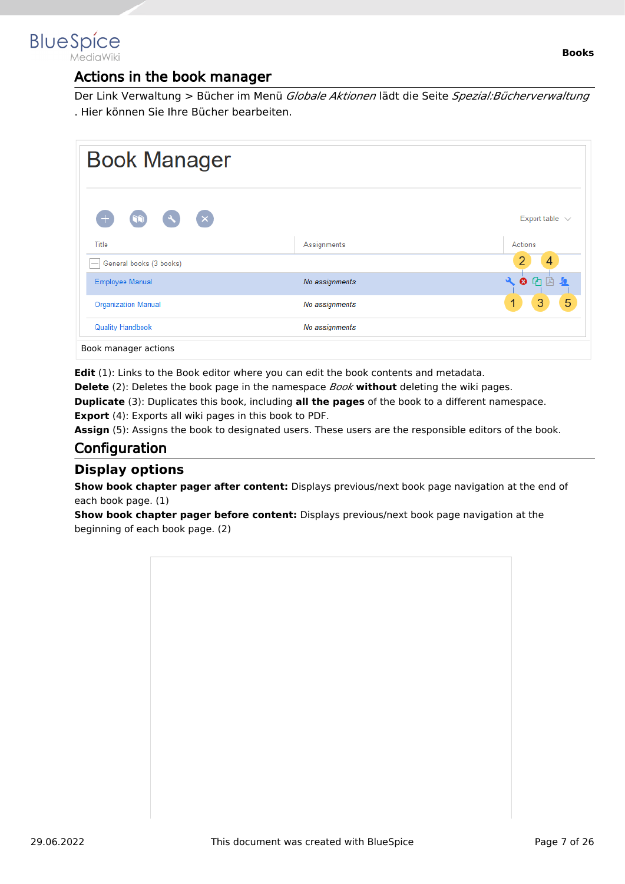

# Actions in the book manager

Der Link Verwaltung > Bücher im Menü *Globale Aktionen* lädt die Seite *Spezial:Bücherverwaltung* . Hier können Sie Ihre Bücher bearbeiten.

| <b>Book Manager</b>         |                |                                      |
|-----------------------------|----------------|--------------------------------------|
| $(\times)$<br>$\mathcal{A}$ |                | Export table $\sqrt{ }$              |
| Title                       | Assignments    | Actions                              |
| General books (3 books)     |                | 4                                    |
| <b>Employee Manual</b>      | No assignments | $\odot$ $\odot$<br>$\mathbf{a}$<br>凹 |
| <b>Organization Manual</b>  | No assignments | 5<br>3<br>1                          |
| <b>Quality Handbook</b>     | No assignments |                                      |

**Edit** (1): Links to the Book editor where you can edit the book contents and metadata.

**Delete** (2): Deletes the book page in the namespace *Book* **without** deleting the wiki pages.

**Duplicate** (3): Duplicates this book, including **all the pages** of the book to a different namespace.

**Export** (4): Exports all wiki pages in this book to PDF.

Assign (5): Assigns the book to designated users. These users are the responsible editors of the book.

# **Configuration**

#### **Display options**

**Show book chapter pager after content:** Displays previous/next book page navigation at the end of each book page. (1)

**Show book chapter pager before content:** Displays previous/next book page navigation at the beginning of each book page. (2)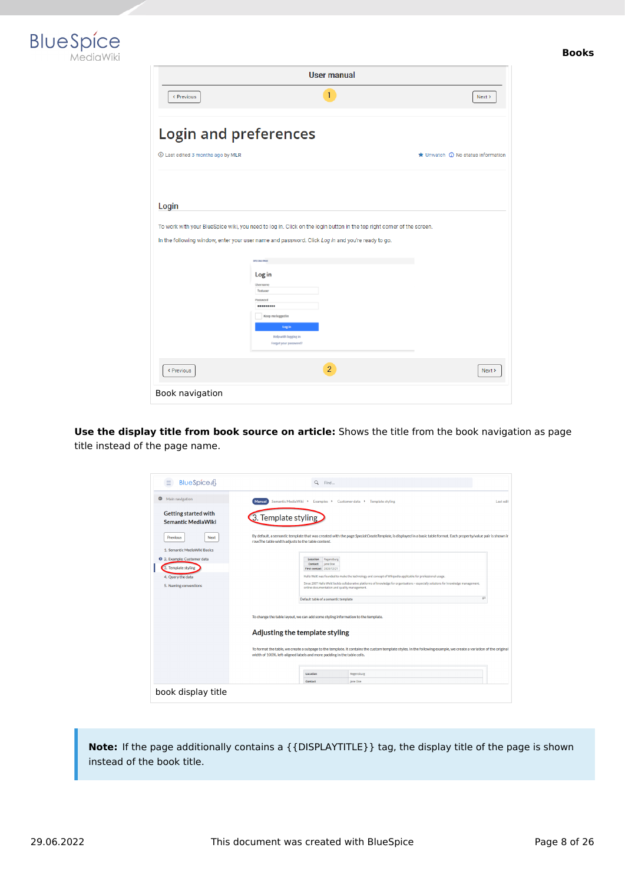



| <b>User manual</b>                |                                                                                                                                                                                                                                                    |                                                     |  |
|-----------------------------------|----------------------------------------------------------------------------------------------------------------------------------------------------------------------------------------------------------------------------------------------------|-----------------------------------------------------|--|
| < Previous                        | 1                                                                                                                                                                                                                                                  | Next >                                              |  |
| <b>Login and preferences</b>      |                                                                                                                                                                                                                                                    |                                                     |  |
| 1 Last edited 3 months ago by MLR |                                                                                                                                                                                                                                                    | $\bigstar$ Unwatch $\bigcirc$ No status information |  |
|                                   |                                                                                                                                                                                                                                                    |                                                     |  |
| Login                             |                                                                                                                                                                                                                                                    |                                                     |  |
|                                   | In the following window, enter your user name and password. Click Log in and you're ready to go.<br>SPECIAL PAGE<br>Log in<br>Username<br>Testuser<br>Password<br><br>Keep me logged in<br>Log in<br>Help with logging in<br>Forgot your password? |                                                     |  |
| < Previous                        | $\overline{2}$                                                                                                                                                                                                                                     | Next >                                              |  |
| Book navigation                   |                                                                                                                                                                                                                                                    |                                                     |  |

**Use the display title from book source on article:** Shows the title from the book navigation as page title instead of the page name.

| BlueSpice4<br>$=$                                        | $\alpha$<br>Find                                                                                                                                                                                                                                                                                                                                                   |           |
|----------------------------------------------------------|--------------------------------------------------------------------------------------------------------------------------------------------------------------------------------------------------------------------------------------------------------------------------------------------------------------------------------------------------------------------|-----------|
| Θ<br>Main navigation                                     | Semantic MediaWiki ▶<br>Examples > Customer data ><br><b>Template styling</b><br><b>Manual</b>                                                                                                                                                                                                                                                                     | Last edit |
| <b>Getting started with</b><br><b>Semantic MediaWiki</b> | 3. Template styling                                                                                                                                                                                                                                                                                                                                                |           |
| Next<br><b>Previous</b>                                  | By default, a semantic template that was created with the page Special:CreateTemplate, is displayed in a basic table format. Each property/value pair is shown in<br>row.The table width adjusts to the table content.                                                                                                                                             |           |
| 1. Semantic MediaWiki Basics                             |                                                                                                                                                                                                                                                                                                                                                                    |           |
| 2. Example: Customer data                                | Location<br>Regensburg<br>Jane Doe<br>Contact                                                                                                                                                                                                                                                                                                                      |           |
| 3. Template styling                                      | First contact 2020/12/21                                                                                                                                                                                                                                                                                                                                           |           |
| 4. Query the data                                        | Hallo Welt! was founded to make the technology and concept of Wikipedia applicable for professional usage.<br>Since 2007 Hallo Welt! builds collaborative platforms of knowledge for organisations - especially solutions for knowledge management,                                                                                                                |           |
| 5. Naming conventions                                    | online documentation and quality management.                                                                                                                                                                                                                                                                                                                       |           |
|                                                          | Default table of a semantic template                                                                                                                                                                                                                                                                                                                               | 47        |
|                                                          | To change the table layout, we can add some styling information to the template.<br>Adjusting the template styling<br>To format the table, we create a subpage to the template. It contains the custom template styles. In the following example, we create a variation of the original<br>width of 100%, left-aligned labels and more padding in the table cells. |           |
|                                                          | Location<br>Regensburg                                                                                                                                                                                                                                                                                                                                             |           |
|                                                          | Contact<br>Jane Doe                                                                                                                                                                                                                                                                                                                                                |           |
| book display title                                       |                                                                                                                                                                                                                                                                                                                                                                    |           |

**Note:** If the page additionally contains a {{DISPLAYTITLE}} tag, the display title of the page is shown instead of the book title.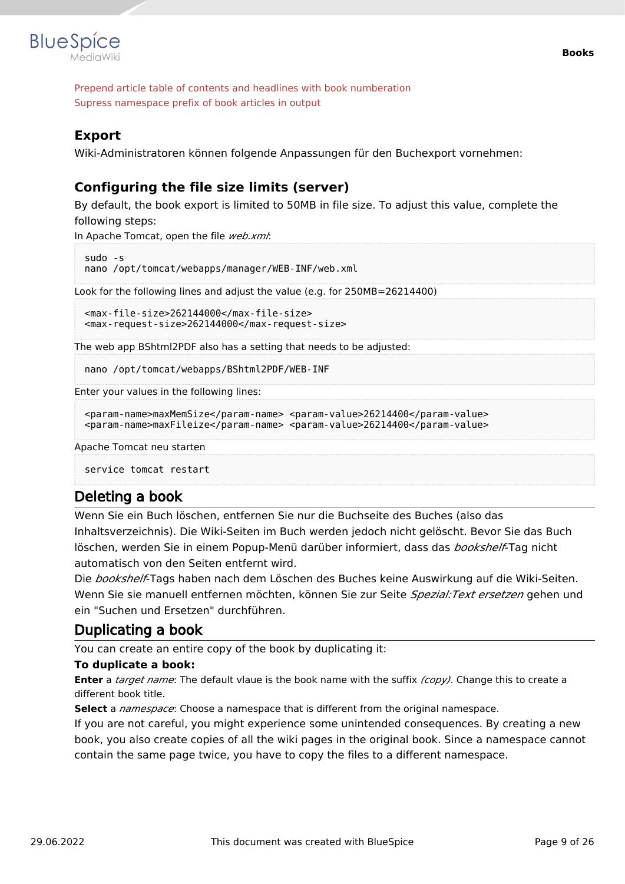

Prepend article table of contents and headlines with book numberation Supress namespace prefix of book articles in output

#### **Export**

Wiki-Administratoren können folgende Anpassungen für den Buchexport vornehmen:

### **Configuring the file size limits (server)**

By default, the book export is limited to 50MB in file size. To adjust this value, complete the following steps:

In Apache Tomcat, open the file *web.xml*:

```
sudo -s
nano /opt/tomcat/webapps/manager/WEB-INF/web.xml
```
Look for the following lines and adjust the value (e.g. for 250MB=26214400)

```
<max-file-size>262144000</max-file-size>
<max-request-size>262144000</max-request-size>
```
The web app BShtml2PDF also has a setting that needs to be adjusted:

nano /opt/tomcat/webapps/BShtml2PDF/WEB-INF

Enter your values in the following lines:

```
<param-name>maxMemSize</param-name> <param-value>26214400</param-value>
<param-name>maxFileize</param-name> <param-value>26214400</param-value>
```
Apache Tomcat neu starten

service tomcat restart

#### Deleting a book

Wenn Sie ein Buch löschen, entfernen Sie nur die Buchseite des Buches (also das Inhaltsverzeichnis). Die Wiki-Seiten im Buch werden jedoch nicht gelöscht. Bevor Sie das Buch löschen, werden Sie in einem Popup-Menü darüber informiert, dass das *bookshelf*-Tag nicht automatisch von den Seiten entfernt wird.

Die *bookshelf*-Tags haben nach dem Löschen des Buches keine Auswirkung auf die Wiki-Seiten. Wenn Sie sie manuell entfernen möchten, können Sie zur Seite *Spezial:Text ersetzen* gehen und ein "Suchen und Ersetzen" durchführen.

# Duplicating a book

You can create an entire copy of the book by duplicating it:

#### **To duplicate a book:**

**Enter** a *target name*: The default vlaue is the book name with the suffix *(copy)*. Change this to create a different book title.

**Select** a *namespace*: Choose a namespace that is different from the original namespace.

If you are not careful, you might experience some unintended consequences. By creating a new book, you also create copies of all the wiki pages in the original book. Since a namespace cannot contain the same page twice, you have to copy the files to a different namespace.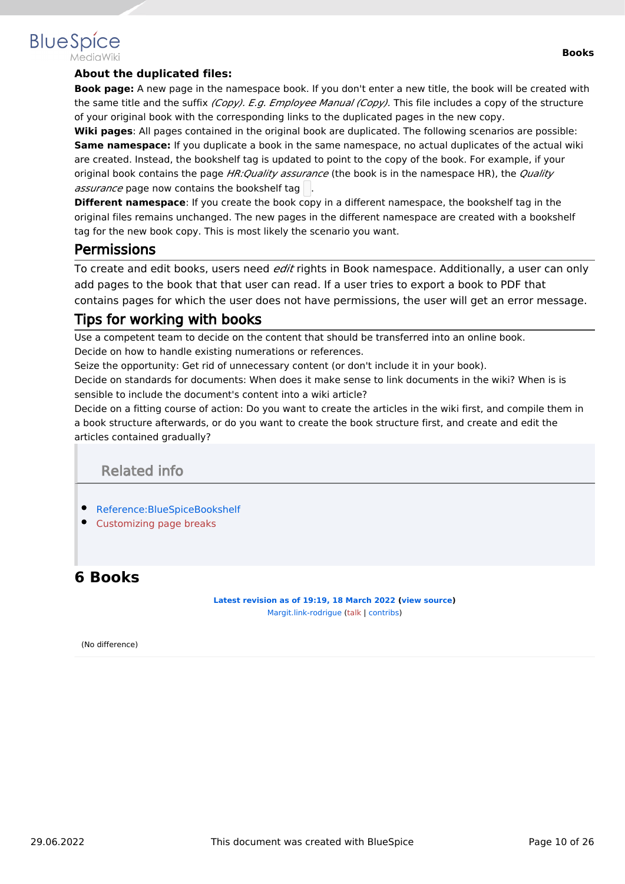#### **Books**

# **BlueSpice**

#### **About the duplicated files:**

**Book page:** A new page in the namespace book. If you don't enter a new title, the book will be created with the same title and the suffix *(Copy). E.g. Employee Manual (Copy).* This file includes a copy of the structure of your original book with the corresponding links to the duplicated pages in the new copy.

**Wiki pages**: All pages contained in the original book are duplicated. The following scenarios are possible: **Same namespace:** If you duplicate a book in the same namespace, no actual duplicates of the actual wiki are created. Instead, the bookshelf tag is updated to point to the copy of the book. For example, if your original book contains the page *HR:Quality assurance* (the book is in the namespace HR), the *Quality assurance* page now contains the bookshelf tag

**Different namespace**: If you create the book copy in a different namespace, the bookshelf tag in the original files remains unchanged. The new pages in the different namespace are created with a bookshelf tag for the new book copy. This is most likely the scenario you want.

# **Permissions**

To create and edit books, users need *edit* rights in Book namespace. Additionally, a user can only add pages to the book that that user can read. If a user tries to export a book to PDF that contains pages for which the user does not have permissions, the user will get an error message.

# Tips for working with books

Use a competent team to decide on the content that should be transferred into an online book. Decide on how to handle existing numerations or references.

Seize the opportunity: Get rid of unnecessary content (or don't include it in your book).

Decide on standards for documents: When does it make sense to link documents in the wiki? When is is sensible to include the document's content into a wiki article?

Decide on a fitting course of action: Do you want to create the articles in the wiki first, and compile them in a book structure afterwards, or do you want to create the book structure first, and create and edit the articles contained gradually?

Related info

- [Reference:BlueSpiceBookshelf](#page-22-0)
- [Customizing page breaks](https://en.wiki.bluespice.com/w/index.php?title=Manual:Extension/BlueSpiceBookshelf/Customized_PDF_Output&action=view)

# <span id="page-9-0"></span>**6 Books**

**[Latest revision as of 19:19, 18 March 2022](#page-9-0) ([view source\)](#page-9-0)** [Margit.link-rodrigue](#page-24-0) ([talk](https://en.wiki.bluespice.com/w/index.php?title=User_talk:Margit.link-rodrigue&action=view) | [contribs](https://en.wiki.bluespice.com/wiki/Special:Contributions/Margit.link-rodrigue))

(No difference)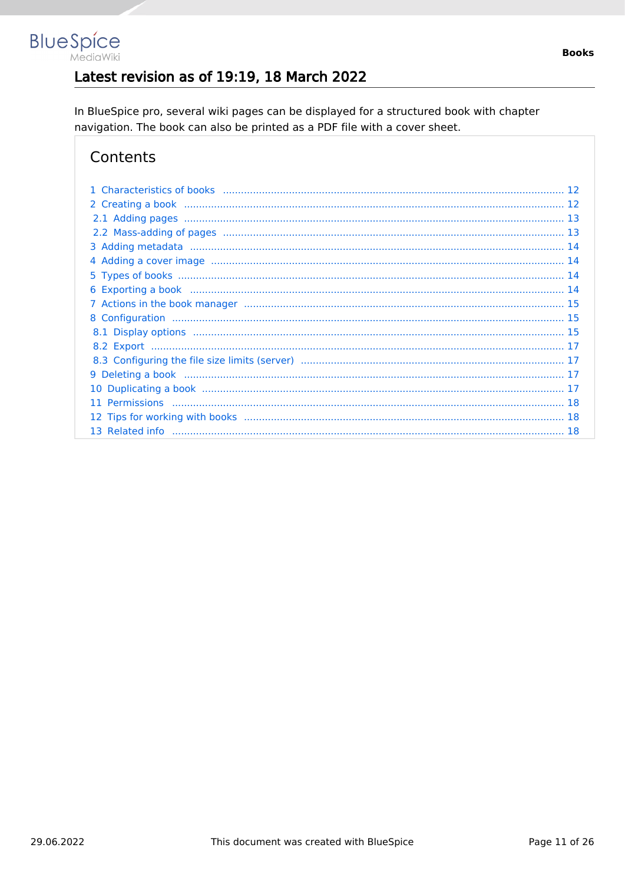# Latest revision as of 19:19, 18 March 2022

In BlueSpice pro, several wiki pages can be displayed for a structured book with chapter navigation. The book can also be printed as a PDF file with a cover sheet.

# Contents

**BlueSpice** 

MediaWiki

| 10 |  |
|----|--|
| 11 |  |
|    |  |
|    |  |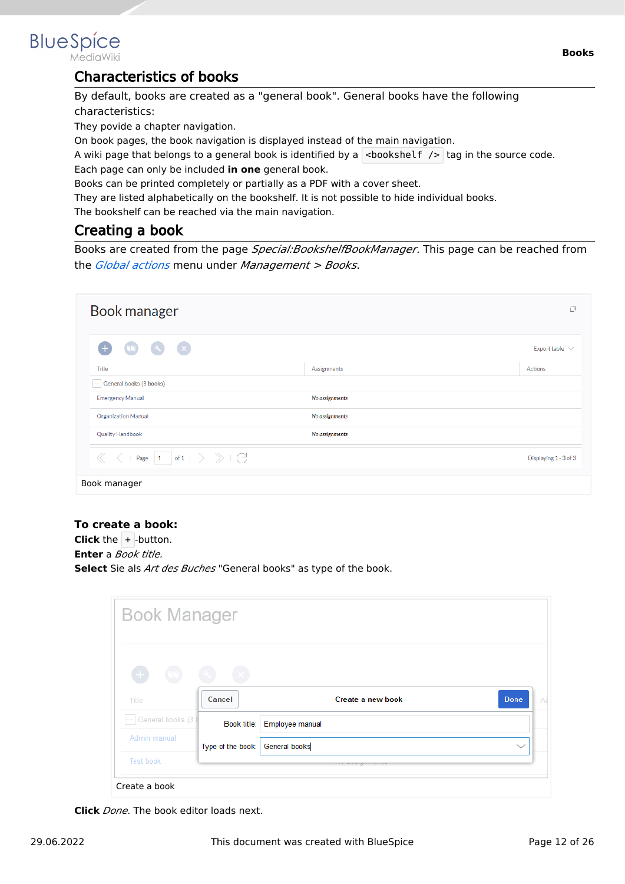<span id="page-11-0"></span>

MediaWiki

# Characteristics of books

By default, books are created as a "general book". General books have the following characteristics:

They povide a chapter navigation.

On book pages, the book navigation is displayed instead of the main navigation.

A wiki page that belongs to a general book is identified by a  $\vert$  <br/>bookshelf />  $\vert$  tag in the source code. Each page can only be included **in one** general book.

Books can be printed completely or partially as a PDF with a cover sheet.

They are listed alphabetically on the bookshelf. It is not possible to hide individual books.

The bookshelf can be reached via the main navigation.

# <span id="page-11-1"></span>Creating a book

Books are created from the page *Special:BookshelfBookManager*. This page can be reached from the *[Global actions](#page-17-0)* menu under *Management > Books*.

| Book manager                                                                    |                | O                     |
|---------------------------------------------------------------------------------|----------------|-----------------------|
| $\left( \infty \right)$ $\left( \infty \right)$<br>Œ<br>$\sqrt{2}$              |                | Export table $\vee$   |
| <b>Title</b>                                                                    | Assignments    | Actions               |
| General books (3 books)                                                         |                |                       |
| <b>Emergency Manual</b>                                                         | No assignments |                       |
| <b>Organization Manual</b>                                                      | No assignments |                       |
| <b>Quality Handbook</b>                                                         | No assignments |                       |
| Page $\begin{array}{ c c c c c }\n\hline\n1 & \hline\nof 1 & & \\\n\end{array}$ |                | Displaying 1 - 3 of 3 |
| Book manager                                                                    |                |                       |

#### **To create a book:**

**Click** the  $+$  -button. **Enter** a *Book title.* **Select** Sie als *Art des Buches* "General books" as type of the book.

| <b>Book Manager</b>              |                   |                             |                   |              |
|----------------------------------|-------------------|-----------------------------|-------------------|--------------|
| $\begin{array}{c} + \end{array}$ |                   |                             |                   |              |
| Title                            | Cancel            |                             | Create a new book | <b>Done</b>  |
| General books (3)                |                   | Book title: Employee manual |                   |              |
| Admin manual                     | Type of the book: | <b>General books</b>        |                   | $\checkmark$ |
| Test book                        |                   |                             |                   |              |

**Click** *Done*. The book editor loads next.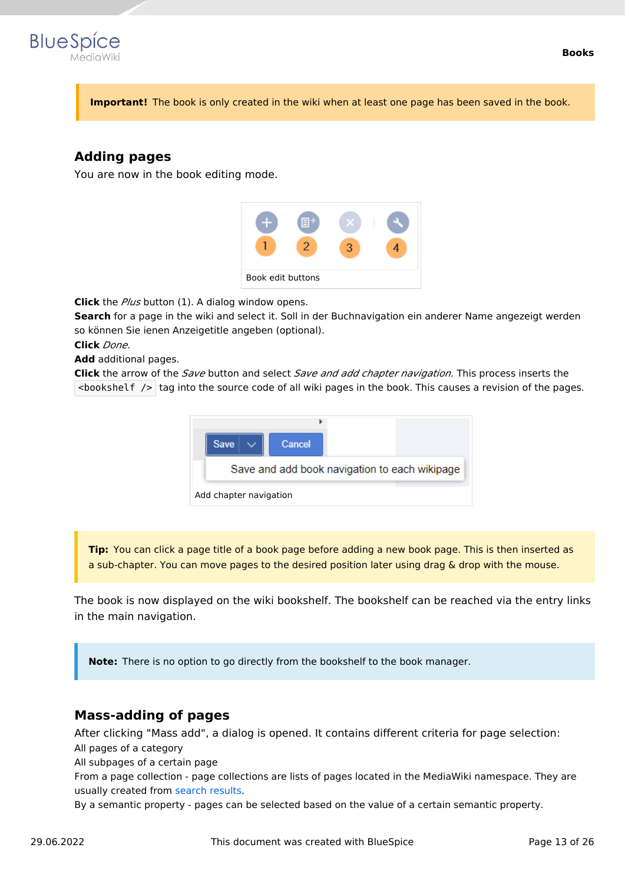

**Important!** The book is only created in the wiki when at least one page has been saved in the book.

# <span id="page-12-0"></span>**Adding pages**

You are now in the book editing mode.



**Click** the *Plus* button (1). A dialog window opens.

**Search** for a page in the wiki and select it. Soll in der Buchnavigation ein anderer Name angezeigt werden so können Sie ienen Anzeigetitle angeben (optional).

**Click** *Done*.

**Add** additional pages.

**Click** the arrow of the *Save* button and select *Save and add chapter navigation.* This process inserts the  $\leq$ bookshelf /> tag into the source code of all wiki pages in the book. This causes a revision of the pages.



**Tip:** You can click a page title of a book page before adding a new book page. This is then inserted as a sub-chapter. You can move pages to the desired position later using drag & drop with the mouse.

The book is now displayed on the wiki bookshelf. The bookshelf can be reached via the entry links in the main navigation.

**Note:** There is no option to go directly from the bookshelf to the book manager.

#### <span id="page-12-1"></span>**Mass-adding of pages**

After clicking "Mass add", a dialog is opened. It contains different criteria for page selection: All pages of a category

All subpages of a certain page

From a page collection - page collections are lists of pages located in the MediaWiki namespace. They are usually created from [search results](https://en.wiki.bluespice.com/wiki/Manual:Extension/BlueSpiceExtendedSearch#Export).

By a semantic property - pages can be selected based on the value of a certain semantic property.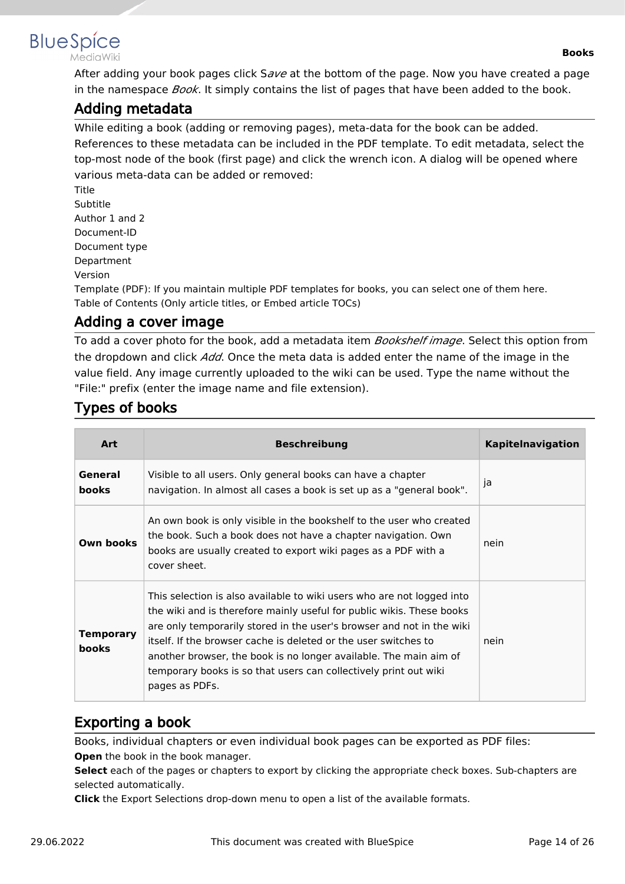<span id="page-13-0"></span>

MediaWiki

After adding your book pages click S*ave* at the bottom of the page. Now you have created a page in the namespace *Book*. It simply contains the list of pages that have been added to the book.

# Adding metadata

While editing a book (adding or removing pages), meta-data for the book can be added. References to these metadata can be included in the PDF template. To edit metadata, select the top-most node of the book (first page) and click the wrench icon. A dialog will be opened where various meta-data can be added or removed:

Title Subtitle Author 1 and 2 Document-ID Document type Department Version

Template (PDF): If you maintain multiple PDF templates for books, you can select one of them here. Table of Contents (Only article titles, or Embed article TOCs)

# <span id="page-13-1"></span>Adding a cover image

To add a cover photo for the book, add a metadata item *Bookshelf image*. Select this option from the dropdown and click *Add*. Once the meta data is added enter the name of the image in the value field. Any image currently uploaded to the wiki can be used. Type the name without the "File:" prefix (enter the image name and file extension).

# <span id="page-13-2"></span>Types of books

| <b>Art</b>                | <b>Beschreibung</b>                                                                                                                                                                                                                                                                                                                                                                                                                                    | <b>Kapitelnavigation</b> |
|---------------------------|--------------------------------------------------------------------------------------------------------------------------------------------------------------------------------------------------------------------------------------------------------------------------------------------------------------------------------------------------------------------------------------------------------------------------------------------------------|--------------------------|
| General<br><b>books</b>   | Visible to all users. Only general books can have a chapter<br>navigation. In almost all cases a book is set up as a "general book".                                                                                                                                                                                                                                                                                                                   | ja                       |
| Own books                 | An own book is only visible in the bookshelf to the user who created<br>the book. Such a book does not have a chapter navigation. Own<br>books are usually created to export wiki pages as a PDF with a<br>cover sheet.                                                                                                                                                                                                                                | nein                     |
| Temporary<br><b>books</b> | This selection is also available to wiki users who are not logged into<br>the wiki and is therefore mainly useful for public wikis. These books<br>are only temporarily stored in the user's browser and not in the wiki<br>itself. If the browser cache is deleted or the user switches to<br>another browser, the book is no longer available. The main aim of<br>temporary books is so that users can collectively print out wiki<br>pages as PDFs. | nein                     |

# <span id="page-13-3"></span>Exporting a book

Books, individual chapters or even individual book pages can be exported as PDF files: **Open** the book in the book manager.

**Select** each of the pages or chapters to export by clicking the appropriate check boxes. Sub-chapters are selected automatically.

**Click** the Export Selections drop-down menu to open a list of the available formats.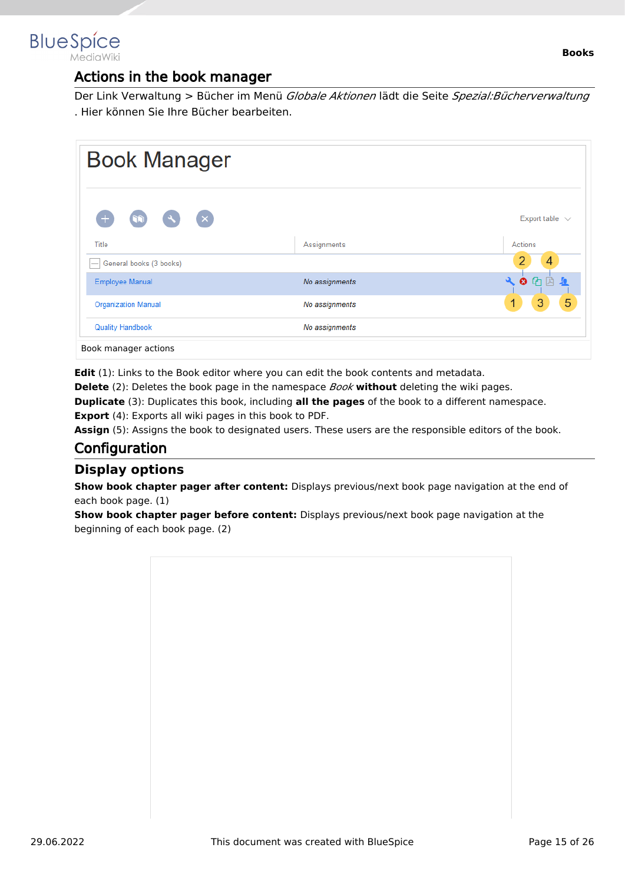<span id="page-14-0"></span>

# Actions in the book manager

Der Link Verwaltung > Bücher im Menü *Globale Aktionen* lädt die Seite *Spezial:Bücherverwaltung* . Hier können Sie Ihre Bücher bearbeiten.

| <b>Book Manager</b>         |                |                                      |
|-----------------------------|----------------|--------------------------------------|
| $(\times)$<br>$\mathcal{A}$ |                | Export table $\sqrt{ }$              |
| Title                       | Assignments    | Actions                              |
| General books (3 books)     |                | 4                                    |
| <b>Employee Manual</b>      | No assignments | $\odot$ $\odot$<br>$\mathbf{a}$<br>凹 |
| <b>Organization Manual</b>  | No assignments | 5<br>3<br>1                          |
| <b>Quality Handbook</b>     | No assignments |                                      |

**Edit** (1): Links to the Book editor where you can edit the book contents and metadata.

**Delete** (2): Deletes the book page in the namespace *Book* **without** deleting the wiki pages.

**Duplicate** (3): Duplicates this book, including **all the pages** of the book to a different namespace.

**Export** (4): Exports all wiki pages in this book to PDF.

Assign (5): Assigns the book to designated users. These users are the responsible editors of the book.

# <span id="page-14-1"></span>**Configuration**

#### <span id="page-14-2"></span>**Display options**

**Show book chapter pager after content:** Displays previous/next book page navigation at the end of each book page. (1)

**Show book chapter pager before content:** Displays previous/next book page navigation at the beginning of each book page. (2)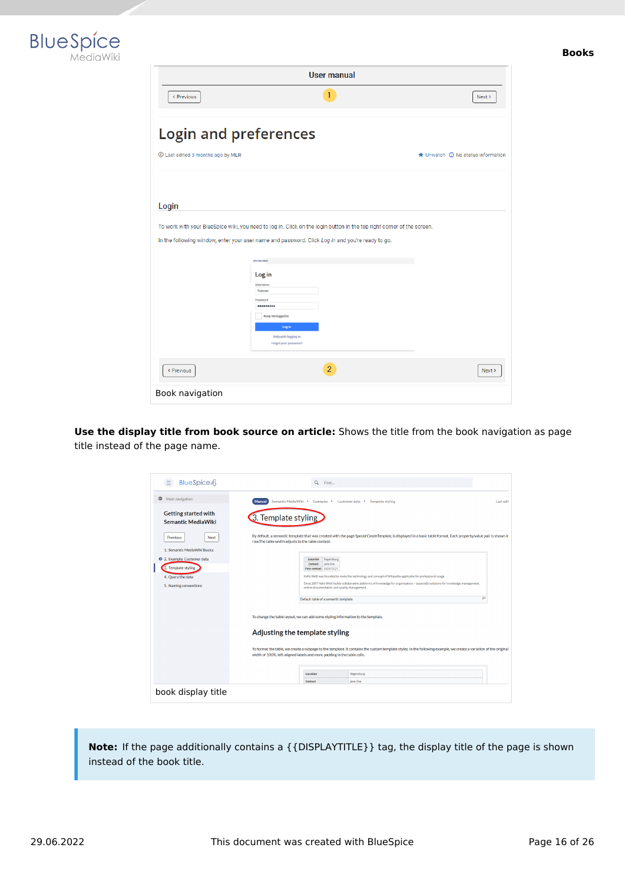



| <b>User manual</b>                |                                                                                                                                                                                                                                                           |                                                     |  |
|-----------------------------------|-----------------------------------------------------------------------------------------------------------------------------------------------------------------------------------------------------------------------------------------------------------|-----------------------------------------------------|--|
| < Previous                        | 1                                                                                                                                                                                                                                                         | Next >                                              |  |
| <b>Login and preferences</b>      |                                                                                                                                                                                                                                                           |                                                     |  |
| 1 Last edited 3 months ago by MLR |                                                                                                                                                                                                                                                           | $\bigstar$ Unwatch $\bigcirc$ No status information |  |
|                                   |                                                                                                                                                                                                                                                           |                                                     |  |
| Login                             |                                                                                                                                                                                                                                                           |                                                     |  |
|                                   | In the following window, enter your user name and password. Click Log in and you're ready to go.<br>SPECIAL PAGE<br>Log in<br>Username<br>Testuser<br>Password<br><br>Keep me logged in<br>Log in<br><b>Help with logging in</b><br>Forgot your password? |                                                     |  |
| < Previous                        | $\overline{2}$                                                                                                                                                                                                                                            | Next >                                              |  |
| Book navigation                   |                                                                                                                                                                                                                                                           |                                                     |  |

**Use the display title from book source on article:** Shows the title from the book navigation as page title instead of the page name.

| BlueSpice 4<br>Ξ                                         | $\alpha$<br>Find                                                                                                                                                                                                                             |           |
|----------------------------------------------------------|----------------------------------------------------------------------------------------------------------------------------------------------------------------------------------------------------------------------------------------------|-----------|
| Θ<br>Main navigation                                     | Semantic MediaWiki → Examples → Customer data → Template styling<br><b>Manual</b>                                                                                                                                                            | Last edit |
| <b>Getting started with</b><br><b>Semantic MediaWiki</b> | 3. Template styling                                                                                                                                                                                                                          |           |
| Previous<br>Next                                         | By default, a semantic template that was created with the page Special:CreateTemplate, is displayed in a basic table format. Each property/value pair is shown in<br>row.The table width adjusts to the table content.                       |           |
| 1. Semantic MediaWiki Basics                             |                                                                                                                                                                                                                                              |           |
| 2. Example: Customer data                                | Location<br>Regensburg<br>Jane Doe<br>Contact                                                                                                                                                                                                |           |
| 3. Template styling                                      | First contact 2020/12/21                                                                                                                                                                                                                     |           |
| 4. Query the data                                        | Hallo Welt! was founded to make the technology and concept of Wikipedia applicable for professional usage.                                                                                                                                   |           |
| 5. Naming conventions                                    | Since 2007 Hallo Welt! builds collaborative platforms of knowledge for organisations - especially solutions for knowledge management,<br>online documentation and quality management.                                                        |           |
|                                                          | 63<br>Default table of a semantic template                                                                                                                                                                                                   |           |
|                                                          | To change the table layout, we can add some styling information to the template.<br>Adjusting the template styling                                                                                                                           |           |
|                                                          | To format the table, we create a subpage to the template. It contains the custom template styles. In the following example, we create a variation of the original<br>width of 100%, left-aligned labels and more padding in the table cells. |           |
|                                                          | Location<br>Regensburg                                                                                                                                                                                                                       |           |

**Note:** If the page additionally contains a {{DISPLAYTITLE}} tag, the display title of the page is shown instead of the book title.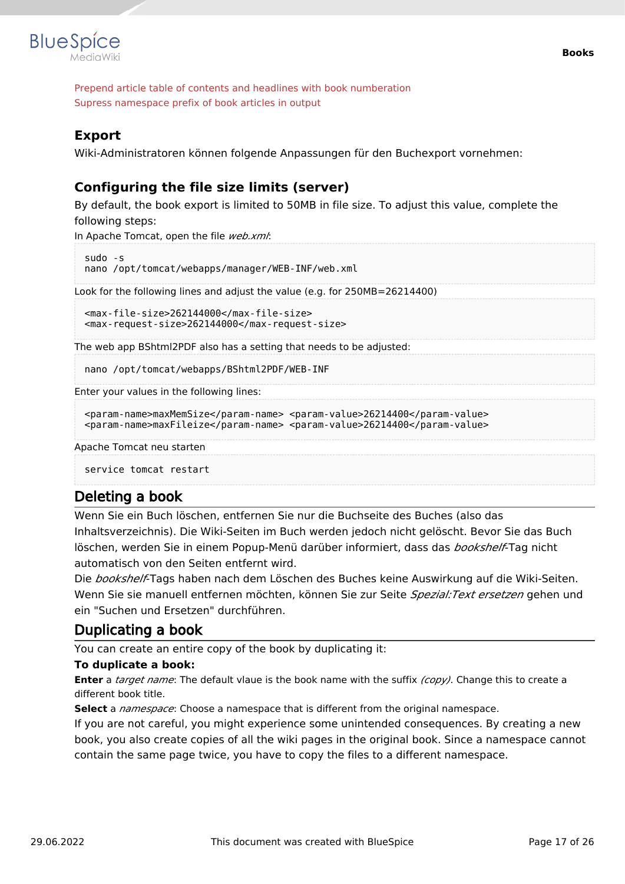

Prepend article table of contents and headlines with book numberation Supress namespace prefix of book articles in output

#### <span id="page-16-0"></span>**Export**

Wiki-Administratoren können folgende Anpassungen für den Buchexport vornehmen:

### <span id="page-16-1"></span>**Configuring the file size limits (server)**

By default, the book export is limited to 50MB in file size. To adjust this value, complete the following steps:

In Apache Tomcat, open the file *web.xml*:

```
sudo -s
nano /opt/tomcat/webapps/manager/WEB-INF/web.xml
```
Look for the following lines and adjust the value (e.g. for 250MB=26214400)

```
<max-file-size>262144000</max-file-size>
<max-request-size>262144000</max-request-size>
```
The web app BShtml2PDF also has a setting that needs to be adjusted:

nano /opt/tomcat/webapps/BShtml2PDF/WEB-INF

Enter your values in the following lines:

```
<param-name>maxMemSize</param-name> <param-value>26214400</param-value>
<param-name>maxFileize</param-name> <param-value>26214400</param-value>
```
Apache Tomcat neu starten

service tomcat restart

#### <span id="page-16-2"></span>Deleting a book

Wenn Sie ein Buch löschen, entfernen Sie nur die Buchseite des Buches (also das Inhaltsverzeichnis). Die Wiki-Seiten im Buch werden jedoch nicht gelöscht. Bevor Sie das Buch löschen, werden Sie in einem Popup-Menü darüber informiert, dass das *bookshelf*-Tag nicht automatisch von den Seiten entfernt wird.

Die *bookshelf*-Tags haben nach dem Löschen des Buches keine Auswirkung auf die Wiki-Seiten. Wenn Sie sie manuell entfernen möchten, können Sie zur Seite *Spezial:Text ersetzen* gehen und ein "Suchen und Ersetzen" durchführen.

# <span id="page-16-3"></span>Duplicating a book

You can create an entire copy of the book by duplicating it:

#### **To duplicate a book:**

**Enter** a *target name*: The default vlaue is the book name with the suffix *(copy)*. Change this to create a different book title.

**Select** a *namespace*: Choose a namespace that is different from the original namespace.

If you are not careful, you might experience some unintended consequences. By creating a new book, you also create copies of all the wiki pages in the original book. Since a namespace cannot contain the same page twice, you have to copy the files to a different namespace.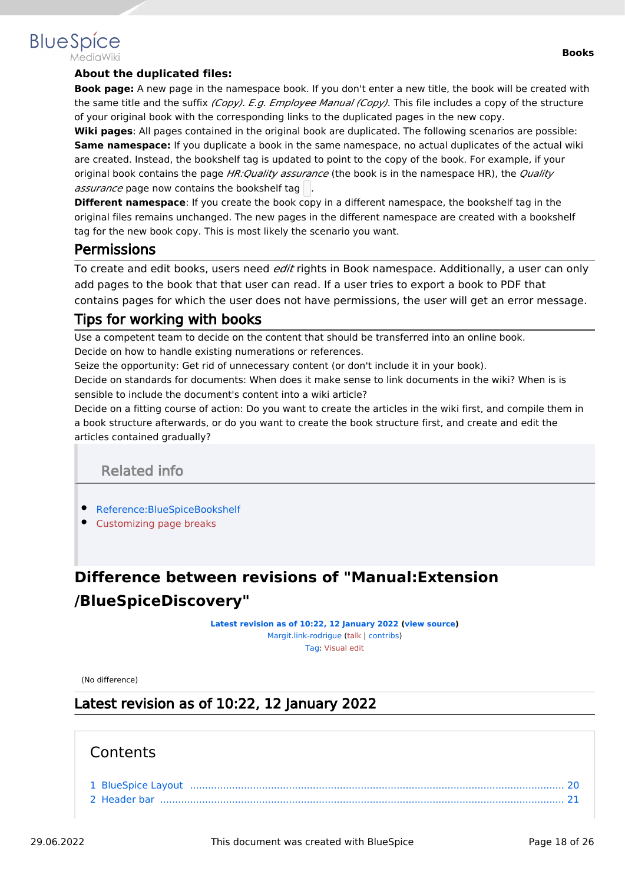#### **Books**

# **BlueSpice**

#### **About the duplicated files:**

**Book page:** A new page in the namespace book. If you don't enter a new title, the book will be created with the same title and the suffix *(Copy). E.g. Employee Manual (Copy).* This file includes a copy of the structure of your original book with the corresponding links to the duplicated pages in the new copy.

**Wiki pages**: All pages contained in the original book are duplicated. The following scenarios are possible: **Same namespace:** If you duplicate a book in the same namespace, no actual duplicates of the actual wiki are created. Instead, the bookshelf tag is updated to point to the copy of the book. For example, if your original book contains the page *HR:Quality assurance* (the book is in the namespace HR), the *Quality assurance* page now contains the bookshelf tag .

**Different namespace**: If you create the book copy in a different namespace, the bookshelf tag in the original files remains unchanged. The new pages in the different namespace are created with a bookshelf tag for the new book copy. This is most likely the scenario you want.

# <span id="page-17-1"></span>**Permissions**

To create and edit books, users need *edit* rights in Book namespace. Additionally, a user can only add pages to the book that that user can read. If a user tries to export a book to PDF that contains pages for which the user does not have permissions, the user will get an error message.

# <span id="page-17-2"></span>Tips for working with books

Use a competent team to decide on the content that should be transferred into an online book. Decide on how to handle existing numerations or references.

Seize the opportunity: Get rid of unnecessary content (or don't include it in your book).

Decide on standards for documents: When does it make sense to link documents in the wiki? When is is sensible to include the document's content into a wiki article?

Decide on a fitting course of action: Do you want to create the articles in the wiki first, and compile them in a book structure afterwards, or do you want to create the book structure first, and create and edit the articles contained gradually?

Related info

- <span id="page-17-3"></span>[Reference:BlueSpiceBookshelf](#page-22-0)
- [Customizing page breaks](https://en.wiki.bluespice.com/w/index.php?title=Manual:Extension/BlueSpiceBookshelf/Customized_PDF_Output&action=view)

# <span id="page-17-0"></span>**Difference between revisions of "Manual:Extension /BlueSpiceDiscovery"**

**[Latest revision as of 10:22, 12 January 2022](#page-17-0) ([view source\)](#page-17-0)** [Margit.link-rodrigue](#page-24-0) ([talk](https://en.wiki.bluespice.com/w/index.php?title=User_talk:Margit.link-rodrigue&action=view) | [contribs](https://en.wiki.bluespice.com/wiki/Special:Contributions/Margit.link-rodrigue)) [Tag](https://en.wiki.bluespice.com/wiki/Special:Tags): [Visual edit](https://en.wiki.bluespice.com/w/index.php?title=Site:VisualEditor&action=view)

(No difference)

# Latest revision as of 10:22, 12 January 2022

#### **Contents**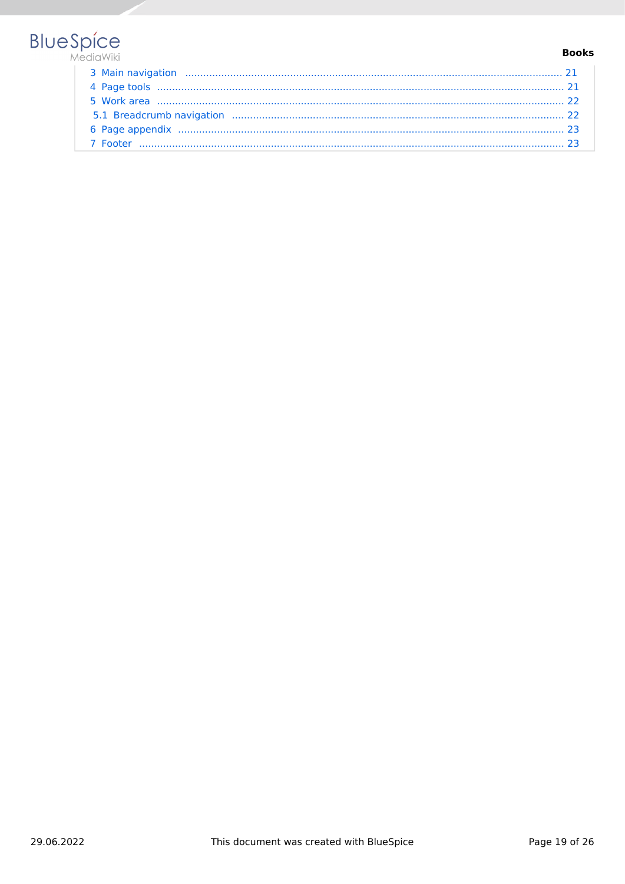# **BlueSpice**

#### **Books**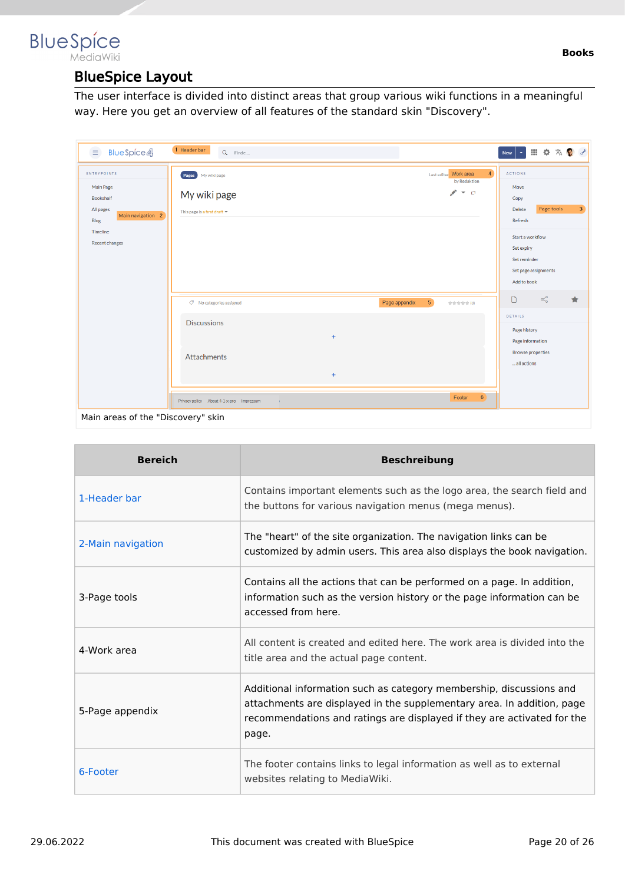### <span id="page-19-0"></span>**BlueSpice** MediaWiki

# BlueSpice Layout

The user interface is divided into distinct areas that group various wiki functions in a meaningful way. Here you get an overview of all features of the standard skin "Discovery".

| <b>BlueSpice4</b><br>$\equiv$                                                                                                      | 1 Header bar<br>Q Finde                                                                                                              | Ⅲ ※ 次● ♂<br>$\langle \sigma \rangle$<br>New                                                                                                                                  |
|------------------------------------------------------------------------------------------------------------------------------------|--------------------------------------------------------------------------------------------------------------------------------------|------------------------------------------------------------------------------------------------------------------------------------------------------------------------------|
| <b>ENTRYPOINTS</b><br>Main Page<br><b>Bookshelf</b><br>All pages<br>Main navigation 2<br>Blog<br>Timeline<br><b>Recent changes</b> | $\overline{4}$<br>Last edited Work area<br>Pages My wiki page<br>by Redaktion<br>メーロ<br>My wiki page<br>This page is a first draft = | <b>ACTIONS</b><br>Move<br>Copy<br>Page tools<br>3 <sup>°</sup><br>Delete<br>Refresh<br>Start a workflow<br>Set expiry<br>Set reminder<br>Set page assignments<br>Add to book |
|                                                                                                                                    | 5 <sub>1</sub><br>Page appendix<br>◯ No categories assigned<br>the the the the (O)                                                   | $\leqslant$<br>$\Box$<br>$\bigstar$                                                                                                                                          |
|                                                                                                                                    | <b>Discussions</b><br>$\ddot{}$<br>Attachments<br>$+$                                                                                | DETAILS<br>Page history<br>Page information<br><b>Browse properties</b><br>all actions                                                                                       |
|                                                                                                                                    | 6 <sup>°</sup><br>Footer<br>Privacy policy About 4-1-x-pro Impressum<br>$\sim$                                                       |                                                                                                                                                                              |
| Main areas of the "Discovery" skin                                                                                                 |                                                                                                                                      |                                                                                                                                                                              |

| <b>Bereich</b>    | <b>Beschreibung</b>                                                                                                                                                                                                               |
|-------------------|-----------------------------------------------------------------------------------------------------------------------------------------------------------------------------------------------------------------------------------|
| 1-Header bar      | Contains important elements such as the logo area, the search field and<br>the buttons for various navigation menus (mega menus).                                                                                                 |
| 2-Main navigation | The "heart" of the site organization. The navigation links can be<br>customized by admin users. This area also displays the book navigation.                                                                                      |
| 3-Page tools      | Contains all the actions that can be performed on a page. In addition,<br>information such as the version history or the page information can be<br>accessed from here.                                                           |
| 4-Work area       | All content is created and edited here. The work area is divided into the<br>title area and the actual page content.                                                                                                              |
| 5-Page appendix   | Additional information such as category membership, discussions and<br>attachments are displayed in the supplementary area. In addition, page<br>recommendations and ratings are displayed if they are activated for the<br>page. |
| 6-Footer          | The footer contains links to legal information as well as to external<br>websites relating to MediaWiki.                                                                                                                          |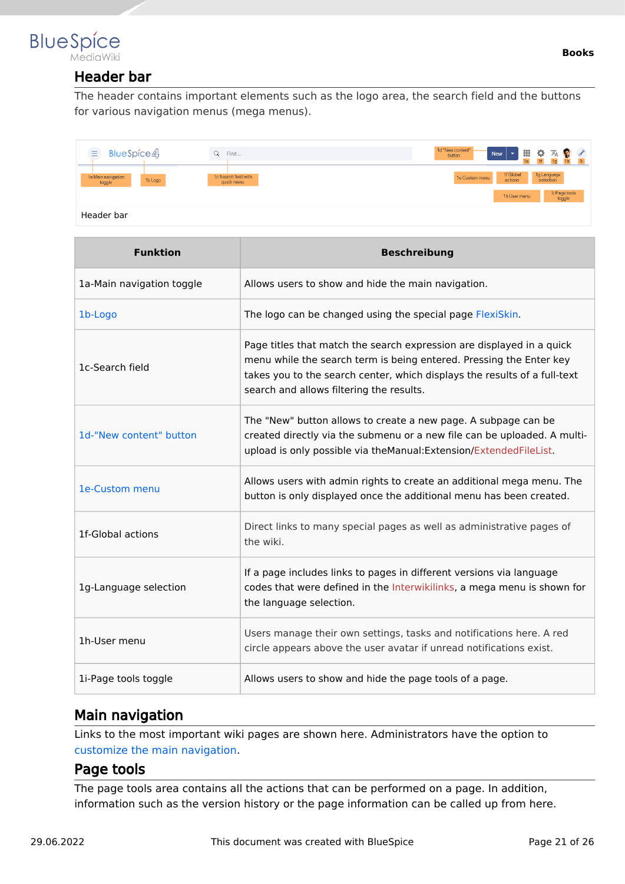<span id="page-20-0"></span>

# Header bar

The header contains important elements such as the logo area, the search field and the buttons for various navigation menus (mega menus).

| 1f Global<br>actions<br>1g Language<br>selection<br>1c Search field with<br>1a Main navigation<br>1e Custom menu<br>1b Logo<br>toggle<br>quick menu<br>1h User menu | $\equiv$<br>BlueSpice4 | Find<br>u | 1d "New content" -<br>Ⅲ ※ ※ ◎ ♂<br>New<br>$\mathcal{L}_{\mathcal{F}}$<br>button<br>1f<br>1e |                         |
|---------------------------------------------------------------------------------------------------------------------------------------------------------------------|------------------------|-----------|---------------------------------------------------------------------------------------------|-------------------------|
|                                                                                                                                                                     |                        |           |                                                                                             |                         |
| Header bar                                                                                                                                                          |                        |           |                                                                                             | 1i Page tools<br>toggle |

| <b>Funktion</b>           | <b>Beschreibung</b>                                                                                                                                                                                                                                                   |
|---------------------------|-----------------------------------------------------------------------------------------------------------------------------------------------------------------------------------------------------------------------------------------------------------------------|
| 1a-Main navigation toggle | Allows users to show and hide the main navigation.                                                                                                                                                                                                                    |
| 1b-Logo                   | The logo can be changed using the special page FlexiSkin.                                                                                                                                                                                                             |
| 1c-Search field           | Page titles that match the search expression are displayed in a quick<br>menu while the search term is being entered. Pressing the Enter key<br>takes you to the search center, which displays the results of a full-text<br>search and allows filtering the results. |
| 1d-"New content" button   | The "New" button allows to create a new page. A subpage can be<br>created directly via the submenu or a new file can be uploaded. A multi-<br>upload is only possible via theManual: Extension/ExtendedFileList.                                                      |
| 1e-Custom menu            | Allows users with admin rights to create an additional mega menu. The<br>button is only displayed once the additional menu has been created.                                                                                                                          |
| 1f-Global actions         | Direct links to many special pages as well as administrative pages of<br>the wiki.                                                                                                                                                                                    |
| 1g-Language selection     | If a page includes links to pages in different versions via language<br>codes that were defined in the Interwikilinks, a mega menu is shown for<br>the language selection.                                                                                            |
| 1h-User menu              | Users manage their own settings, tasks and notifications here. A red<br>circle appears above the user avatar if unread notifications exist.                                                                                                                           |
| 1i-Page tools toggle      | Allows users to show and hide the page tools of a page.                                                                                                                                                                                                               |

# <span id="page-20-1"></span>Main navigation

Links to the most important wiki pages are shown here. Administrators have the option to [customize the main navigation.](https://en.wiki.bluespice.com/wiki/Manual:Extension/BlueSpiceDiscovery/Main_navigation)

#### <span id="page-20-2"></span>Page tools

The page tools area contains all the actions that can be performed on a page. In addition, information such as the version history or the page information can be called up from here.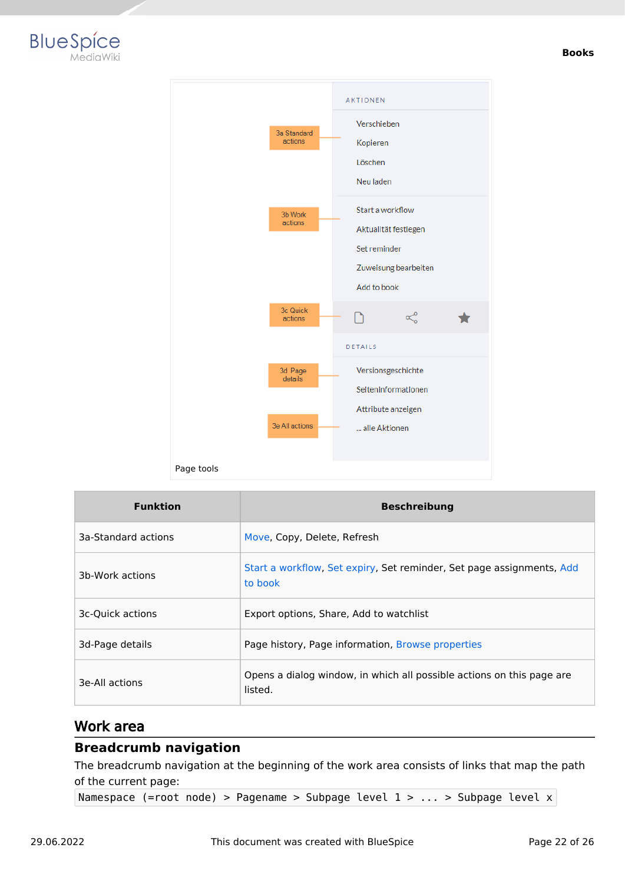



| <b>Funktion</b>     | <b>Beschreibung</b>                                                              |  |
|---------------------|----------------------------------------------------------------------------------|--|
| 3a-Standard actions | Move, Copy, Delete, Refresh                                                      |  |
| 3b-Work actions     | Start a workflow, Set expiry, Set reminder, Set page assignments, Add<br>to book |  |
| 3c-Quick actions    | Export options, Share, Add to watchlist                                          |  |
| 3d-Page details     | Page history, Page information, Browse properties                                |  |
| 3e-All actions      | Opens a dialog window, in which all possible actions on this page are<br>listed. |  |

#### <span id="page-21-0"></span>Work area

#### <span id="page-21-1"></span>**Breadcrumb navigation**

The breadcrumb navigation at the beginning of the work area consists of links that map the path of the current page:

Namespace (=root node) > Pagename > Subpage level 1 > ... > Subpage level x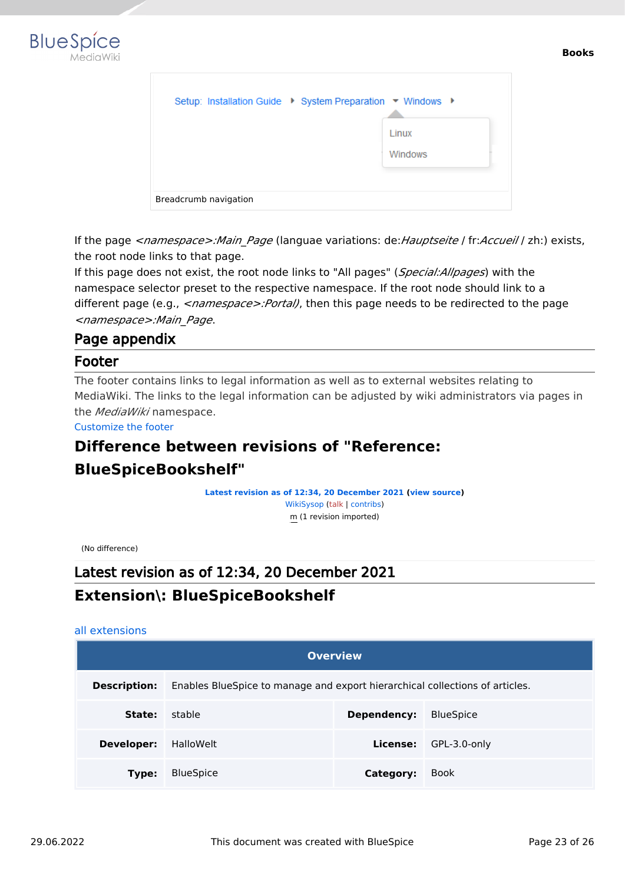

| Setup: Installation Guide ▶ System Preparation ▼ Windows ▶ |                  |
|------------------------------------------------------------|------------------|
|                                                            | Linux<br>Windows |
| Breadcrumb navigation                                      |                  |

If the page *<namespace>:Main\_Page* (languae variations: de:*Hauptseite* / fr:*Accueil* / zh:) exists, the root node links to that page.

If this page does not exist, the root node links to "All pages" (*Special:Allpages*) with the namespace selector preset to the respective namespace. If the root node should link to a different page (e.g., <*namespace>:Portal)*, then this page needs to be redirected to the page *<namespace>:Main\_Page*.

### <span id="page-22-1"></span>Page appendix

#### <span id="page-22-2"></span>Footer

The footer contains links to legal information as well as to external websites relating to MediaWiki. The links to the legal information can be adjusted by wiki administrators via pages in the *MediaWiki* namespace.

[Customize the footer](https://en.wiki.bluespice.com/wiki/Manual:Extension/BlueSpiceDiscovery/Footer)

# <span id="page-22-0"></span>**Difference between revisions of "Reference:**

# **BlueSpiceBookshelf"**

**[Latest revision as of 12:34, 20 December 2021](#page-22-0) ([view source](#page-22-0))** [WikiSysop](https://en.wiki.bluespice.com/wiki/User:WikiSysop) ([talk](https://en.wiki.bluespice.com/w/index.php?title=User_talk:WikiSysop&action=view) | [contribs](https://en.wiki.bluespice.com/wiki/Special:Contributions/WikiSysop)) m (1 revision imported)

(No difference)

# Latest revision as of 12:34, 20 December 2021 **Extension\: BlueSpiceBookshelf**

#### [all extensions](https://en.wiki.bluespice.com/wiki/Category:Extension)

| <b>Overview</b>     |                                                                              |             |                  |  |
|---------------------|------------------------------------------------------------------------------|-------------|------------------|--|
| <b>Description:</b> | Enables BlueSpice to manage and export hierarchical collections of articles. |             |                  |  |
| State:              | stable                                                                       | Dependency: | <b>BlueSpice</b> |  |
| Developer:          | HalloWelt                                                                    | License:    | GPL-3.0-only     |  |
| Type:               | <b>BlueSpice</b>                                                             | Category:   | <b>Book</b>      |  |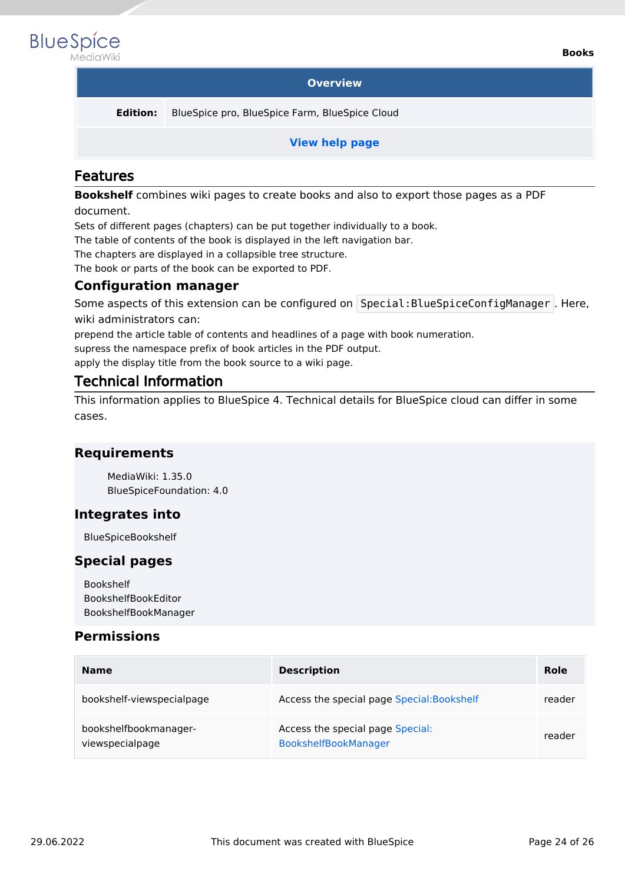

#### **Overview**

**Edition:** BlueSpice pro, BlueSpice Farm, BlueSpice Cloud

**[View help page](#page-9-0)**

#### Features

**Bookshelf** combines wiki pages to create books and also to export those pages as a PDF document.

Sets of different pages (chapters) can be put together individually to a book.

The table of contents of the book is displayed in the left navigation bar.

The chapters are displayed in a collapsible tree structure.

The book or parts of the book can be exported to PDF.

#### **Configuration manager**

Some aspects of this extension can be configured on Special: BlueSpiceConfigManager . Here, wiki administrators can:

prepend the article table of contents and headlines of a page with book numeration.

supress the namespace prefix of book articles in the PDF output.

apply the display title from the book source to a wiki page.

#### Technical Information

This information applies to BlueSpice 4. Technical details for BlueSpice cloud can differ in some cases.

#### **Requirements**

MediaWiki: 1.35.0 BlueSpiceFoundation: 4.0

#### **Integrates into**

BlueSpiceBookshelf

#### **Special pages**

Bookshelf BookshelfBookEditor BookshelfBookManager

#### **Permissions**

| <b>Name</b>                              | <b>Description</b>                                       | Role   |
|------------------------------------------|----------------------------------------------------------|--------|
| bookshelf-viewspecialpage                | Access the special page Special: Bookshelf               | reader |
| bookshelfbookmanager-<br>viewspecialpage | Access the special page Special:<br>BookshelfBookManager | reader |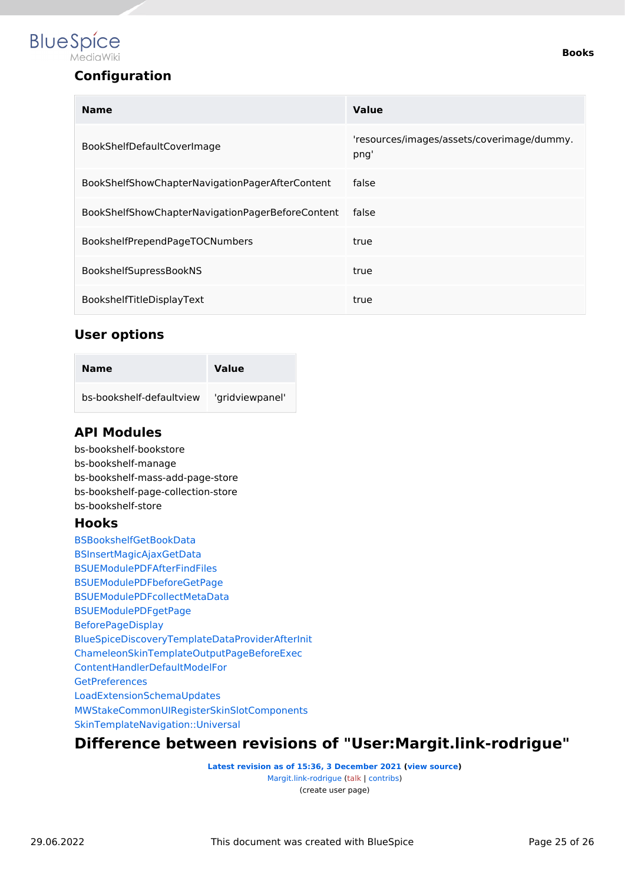

# **Configuration**

| <b>Name</b>                                      | Value                                              |  |
|--------------------------------------------------|----------------------------------------------------|--|
| BookShelfDefaultCoverImage                       | 'resources/images/assets/coverimage/dummy.<br>png' |  |
| BookShelfShowChapterNavigationPagerAfterContent  | false                                              |  |
| BookShelfShowChapterNavigationPagerBeforeContent | false                                              |  |
| BookshelfPrependPageTOCNumbers                   | true                                               |  |
| BookshelfSupressBookNS                           | true                                               |  |
| BookshelfTitleDisplayText                        | true                                               |  |

#### **User options**

| Name                     | <b>Value</b>    |
|--------------------------|-----------------|
| bs-bookshelf-defaultyjew | 'gridviewpanel' |

# **API Modules**

bs-bookshelf-bookstore bs-bookshelf-manage bs-bookshelf-mass-add-page-store bs-bookshelf-page-collection-store bs-bookshelf-store

#### **Hooks**

[BSBookshelfGetBookData](https://www.mediawiki.org/wiki/Manual:Hooks/BSBookshelfGetBookData) [BSInsertMagicAjaxGetData](https://www.mediawiki.org/wiki/Manual:Hooks/BSInsertMagicAjaxGetData) [BSUEModulePDFAfterFindFiles](https://www.mediawiki.org/wiki/Manual:Hooks/BSUEModulePDFAfterFindFiles) [BSUEModulePDFbeforeGetPage](https://www.mediawiki.org/wiki/Manual:Hooks/BSUEModulePDFbeforeGetPage) [BSUEModulePDFcollectMetaData](https://www.mediawiki.org/wiki/Manual:Hooks/BSUEModulePDFcollectMetaData) [BSUEModulePDFgetPage](https://www.mediawiki.org/wiki/Manual:Hooks/BSUEModulePDFgetPage) [BeforePageDisplay](https://www.mediawiki.org/wiki/Manual:Hooks/BeforePageDisplay) [BlueSpiceDiscoveryTemplateDataProviderAfterInit](https://www.mediawiki.org/wiki/Manual:Hooks/BlueSpiceDiscoveryTemplateDataProviderAfterInit) [ChameleonSkinTemplateOutputPageBeforeExec](https://www.mediawiki.org/wiki/Manual:Hooks/ChameleonSkinTemplateOutputPageBeforeExec) [ContentHandlerDefaultModelFor](https://www.mediawiki.org/wiki/Manual:Hooks/ContentHandlerDefaultModelFor) **[GetPreferences](https://www.mediawiki.org/wiki/Manual:Hooks/GetPreferences)** [LoadExtensionSchemaUpdates](https://www.mediawiki.org/wiki/Manual:Hooks/LoadExtensionSchemaUpdates) [MWStakeCommonUIRegisterSkinSlotComponents](https://www.mediawiki.org/wiki/Manual:Hooks/MWStakeCommonUIRegisterSkinSlotComponents) [SkinTemplateNavigation::Universal](https://www.mediawiki.org/wiki/Manual:Hooks/SkinTemplateNavigation::Universal)

# <span id="page-24-0"></span>**Difference between revisions of "User:Margit.link-rodrigue"**

**[Latest revision as of 15:36, 3 December 2021](#page-24-0) [\(view source\)](#page-24-0)** [Margit.link-rodrigue](#page-24-0) ([talk](https://en.wiki.bluespice.com/w/index.php?title=User_talk:Margit.link-rodrigue&action=view) | [contribs](https://en.wiki.bluespice.com/wiki/Special:Contributions/Margit.link-rodrigue)) (create user page)